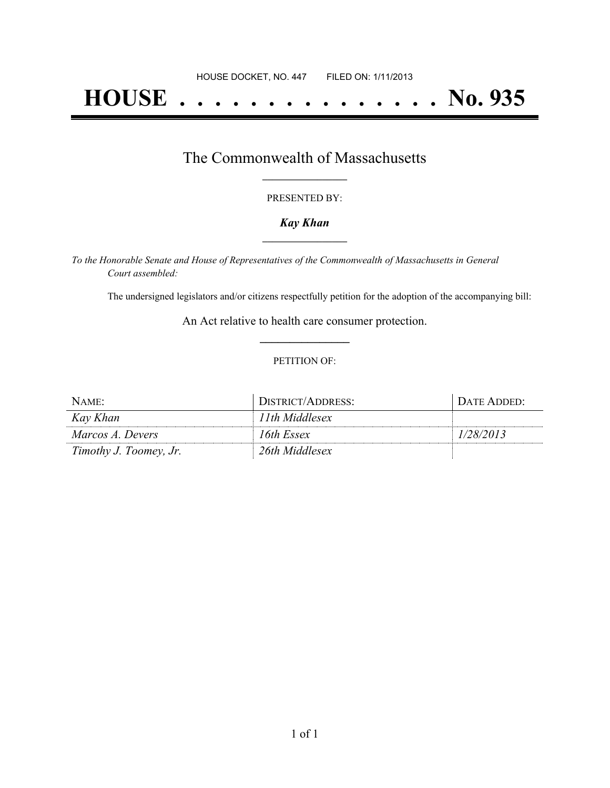# **HOUSE . . . . . . . . . . . . . . . No. 935**

## The Commonwealth of Massachusetts **\_\_\_\_\_\_\_\_\_\_\_\_\_\_\_\_\_**

#### PRESENTED BY:

#### *Kay Khan* **\_\_\_\_\_\_\_\_\_\_\_\_\_\_\_\_\_**

*To the Honorable Senate and House of Representatives of the Commonwealth of Massachusetts in General Court assembled:*

The undersigned legislators and/or citizens respectfully petition for the adoption of the accompanying bill:

An Act relative to health care consumer protection. **\_\_\_\_\_\_\_\_\_\_\_\_\_\_\_**

#### PETITION OF:

| NAME:                  | DISTRICT/ADDRESS: | DATE ADDED: |
|------------------------|-------------------|-------------|
| Kay Khan               | 11th Middlesex    |             |
| Marcos A. Devers       | 16th Essex        | 1/28/2013   |
| Timothy J. Toomey, Jr. | 26th Middlesex    |             |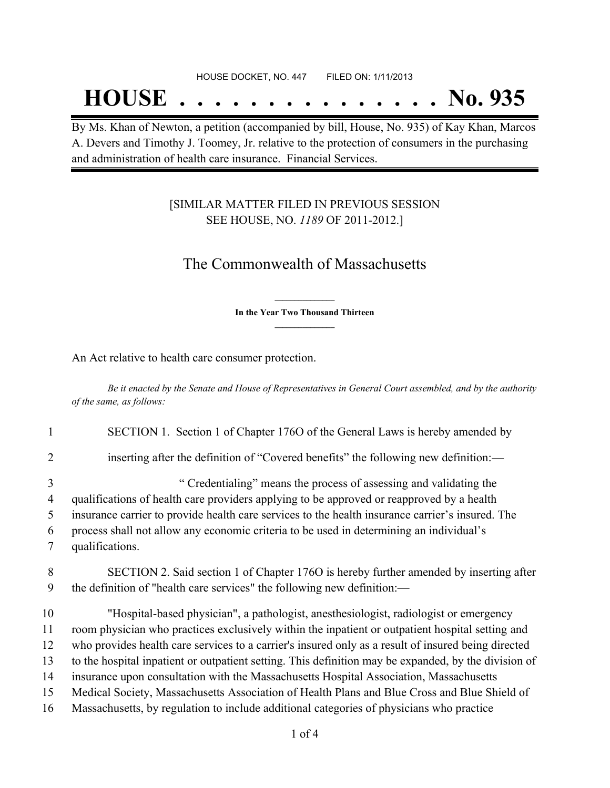#### HOUSE DOCKET, NO. 447 FILED ON: 1/11/2013

## **HOUSE . . . . . . . . . . . . . . . No. 935**

By Ms. Khan of Newton, a petition (accompanied by bill, House, No. 935) of Kay Khan, Marcos A. Devers and Timothy J. Toomey, Jr. relative to the protection of consumers in the purchasing and administration of health care insurance. Financial Services.

### [SIMILAR MATTER FILED IN PREVIOUS SESSION SEE HOUSE, NO. *1189* OF 2011-2012.]

## The Commonwealth of Massachusetts

**\_\_\_\_\_\_\_\_\_\_\_\_\_\_\_ In the Year Two Thousand Thirteen \_\_\_\_\_\_\_\_\_\_\_\_\_\_\_**

An Act relative to health care consumer protection.

Be it enacted by the Senate and House of Representatives in General Court assembled, and by the authority *of the same, as follows:*

| $\mathbf{1}$ | SECTION 1. Section 1 of Chapter 1760 of the General Laws is hereby amended by                        |
|--------------|------------------------------------------------------------------------------------------------------|
| 2            | inserting after the definition of "Covered benefits" the following new definition:—                  |
| 3            | "Credentialing" means the process of assessing and validating the                                    |
| 4            | qualifications of health care providers applying to be approved or reapproved by a health            |
| 5            | insurance carrier to provide health care services to the health insurance carrier's insured. The     |
| 6            | process shall not allow any economic criteria to be used in determining an individual's              |
| 7            | qualifications.                                                                                      |
| 8            | SECTION 2. Said section 1 of Chapter 1760 is hereby further amended by inserting after               |
| 9            | the definition of "health care services" the following new definition:—                              |
| 10           | "Hospital-based physician", a pathologist, anesthesiologist, radiologist or emergency                |
| 11           | room physician who practices exclusively within the inpatient or outpatient hospital setting and     |
| 12           | who provides health care services to a carrier's insured only as a result of insured being directed  |
| 13           | to the hospital inpatient or outpatient setting. This definition may be expanded, by the division of |
| 14           | insurance upon consultation with the Massachusetts Hospital Association, Massachusetts               |
| 15           | Medical Society, Massachusetts Association of Health Plans and Blue Cross and Blue Shield of         |
| 16           | Massachusetts, by regulation to include additional categories of physicians who practice             |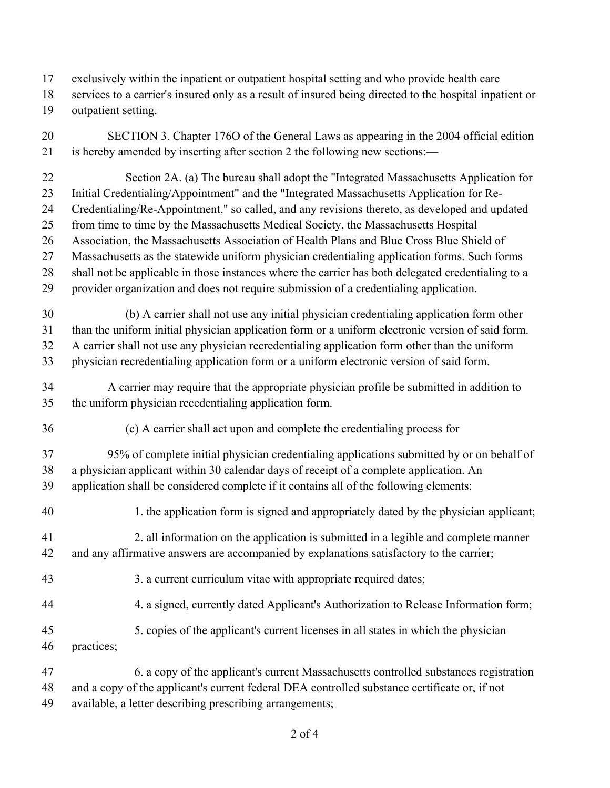- exclusively within the inpatient or outpatient hospital setting and who provide health care
- services to a carrier's insured only as a result of insured being directed to the hospital inpatient or
- outpatient setting.
- SECTION 3. Chapter 176O of the General Laws as appearing in the 2004 official edition is hereby amended by inserting after section 2 the following new sections:—
- Section 2A. (a) The bureau shall adopt the "Integrated Massachusetts Application for Initial Credentialing/Appointment" and the "Integrated Massachusetts Application for Re- Credentialing/Re-Appointment," so called, and any revisions thereto, as developed and updated from time to time by the Massachusetts Medical Society, the Massachusetts Hospital Association, the Massachusetts Association of Health Plans and Blue Cross Blue Shield of Massachusetts as the statewide uniform physician credentialing application forms. Such forms
- shall not be applicable in those instances where the carrier has both delegated credentialing to a
- provider organization and does not require submission of a credentialing application.
- (b) A carrier shall not use any initial physician credentialing application form other than the uniform initial physician application form or a uniform electronic version of said form. A carrier shall not use any physician recredentialing application form other than the uniform physician recredentialing application form or a uniform electronic version of said form.
- 
- A carrier may require that the appropriate physician profile be submitted in addition to the uniform physician recedentialing application form.
- (c) A carrier shall act upon and complete the credentialing process for
- 95% of complete initial physician credentialing applications submitted by or on behalf of a physician applicant within 30 calendar days of receipt of a complete application. An
- application shall be considered complete if it contains all of the following elements:
- 1. the application form is signed and appropriately dated by the physician applicant;
- 2. all information on the application is submitted in a legible and complete manner and any affirmative answers are accompanied by explanations satisfactory to the carrier;
- 43 3. a current curriculum vitae with appropriate required dates;
- 4. a signed, currently dated Applicant's Authorization to Release Information form;
- 5. copies of the applicant's current licenses in all states in which the physician
- practices;
- 6. a copy of the applicant's current Massachusetts controlled substances registration and a copy of the applicant's current federal DEA controlled substance certificate or, if not
- available, a letter describing prescribing arrangements;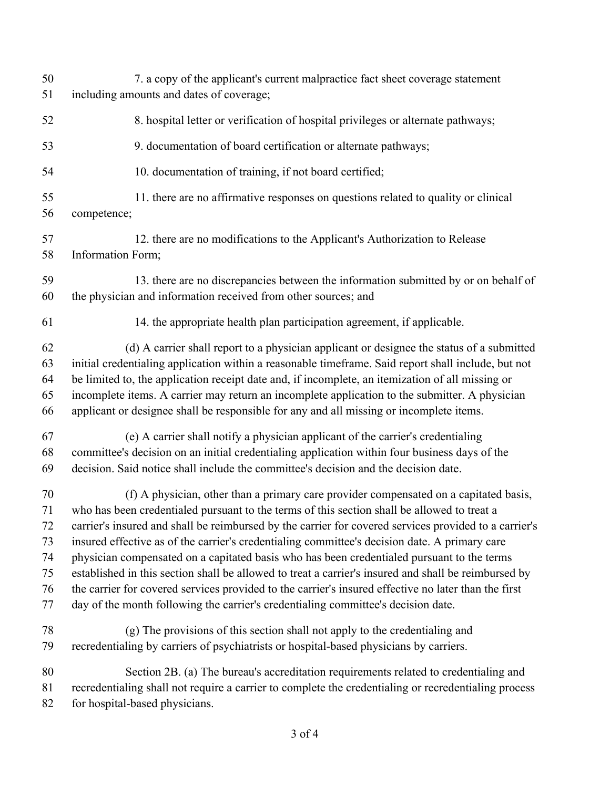| 50 | 7. a copy of the applicant's current malpractice fact sheet coverage statement                        |
|----|-------------------------------------------------------------------------------------------------------|
| 51 | including amounts and dates of coverage;                                                              |
| 52 | 8. hospital letter or verification of hospital privileges or alternate pathways;                      |
| 53 | 9. documentation of board certification or alternate pathways;                                        |
| 54 | 10. documentation of training, if not board certified;                                                |
| 55 | 11. there are no affirmative responses on questions related to quality or clinical                    |
| 56 | competence;                                                                                           |
| 57 | 12. there are no modifications to the Applicant's Authorization to Release                            |
| 58 | Information Form;                                                                                     |
| 59 | 13. there are no discrepancies between the information submitted by or on behalf of                   |
| 60 | the physician and information received from other sources; and                                        |
| 61 | 14. the appropriate health plan participation agreement, if applicable.                               |
| 62 | (d) A carrier shall report to a physician applicant or designee the status of a submitted             |
| 63 | initial credentialing application within a reasonable timeframe. Said report shall include, but not   |
| 64 | be limited to, the application receipt date and, if incomplete, an itemization of all missing or      |
| 65 | incomplete items. A carrier may return an incomplete application to the submitter. A physician        |
| 66 | applicant or designee shall be responsible for any and all missing or incomplete items.               |
| 67 | (e) A carrier shall notify a physician applicant of the carrier's credentialing                       |
| 68 | committee's decision on an initial credentialing application within four business days of the         |
| 69 | decision. Said notice shall include the committee's decision and the decision date.                   |
| 70 | (f) A physician, other than a primary care provider compensated on a capitated basis,                 |
| 71 | who has been credentialed pursuant to the terms of this section shall be allowed to treat a           |
| 72 | carrier's insured and shall be reimbursed by the carrier for covered services provided to a carrier's |
| 73 | insured effective as of the carrier's credentialing committee's decision date. A primary care         |
| 74 | physician compensated on a capitated basis who has been credentialed pursuant to the terms            |
| 75 | established in this section shall be allowed to treat a carrier's insured and shall be reimbursed by  |
| 76 | the carrier for covered services provided to the carrier's insured effective no later than the first  |
| 77 | day of the month following the carrier's credentialing committee's decision date.                     |
| 78 | (g) The provisions of this section shall not apply to the credentialing and                           |
| 79 | recredentialing by carriers of psychiatrists or hospital-based physicians by carriers.                |
| 80 | Section 2B. (a) The bureau's accreditation requirements related to credentialing and                  |
| 81 | recredentialing shall not require a carrier to complete the credentialing or recredentialing process  |
| 82 | for hospital-based physicians.                                                                        |